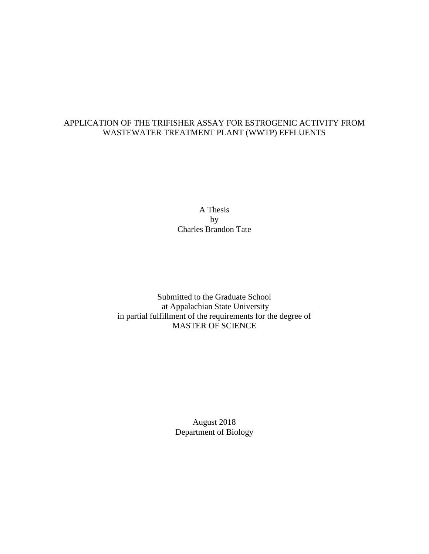### APPLICATION OF THE TRIFISHER ASSAY FOR ESTROGENIC ACTIVITY FROM WASTEWATER TREATMENT PLANT (WWTP) EFFLUENTS

A Thesis by Charles Brandon Tate

Submitted to the Graduate School at Appalachian State University in partial fulfillment of the requirements for the degree of MASTER OF SCIENCE

> August 2018 Department of Biology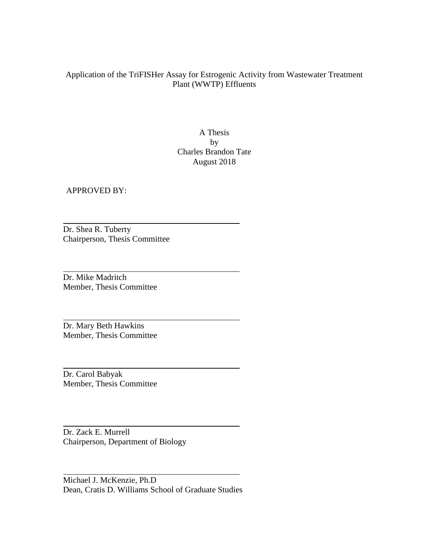## Application of the TriFISHer Assay for Estrogenic Activity from Wastewater Treatment Plant (WWTP) Effluents

A Thesis by Charles Brandon Tate August 2018

APPROVED BY:

Dr. Shea R. Tuberty Chairperson, Thesis Committee

Dr. Mike Madritch Member, Thesis Committee

Dr. Mary Beth Hawkins Member, Thesis Committee

Dr. Carol Babyak Member, Thesis Committee

Dr. Zack E. Murrell Chairperson, Department of Biology

Michael J. McKenzie, Ph.D Dean, Cratis D. Williams School of Graduate Studies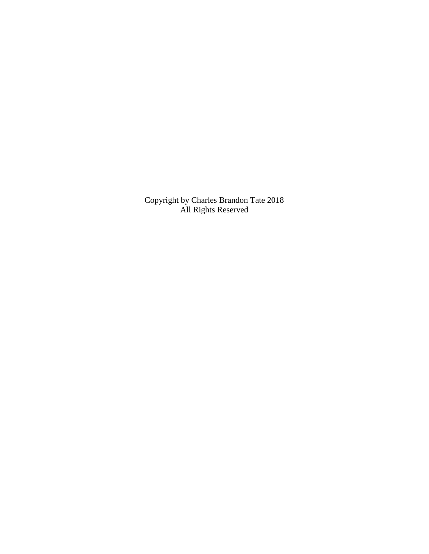Copyright by Charles Brandon Tate 2018 All Rights Reserved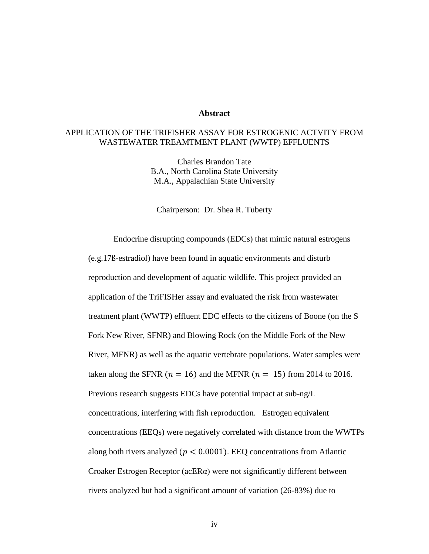#### **Abstract**

## APPLICATION OF THE TRIFISHER ASSAY FOR ESTROGENIC ACTVITY FROM WASTEWATER TREAMTMENT PLANT (WWTP) EFFLUENTS

Charles Brandon Tate B.A., North Carolina State University M.A., Appalachian State University

Chairperson: Dr. Shea R. Tuberty

Endocrine disrupting compounds (EDCs) that mimic natural estrogens (e.g.17ß-estradiol) have been found in aquatic environments and disturb reproduction and development of aquatic wildlife. This project provided an application of the TriFISHer assay and evaluated the risk from wastewater treatment plant (WWTP) effluent EDC effects to the citizens of Boone (on the S Fork New River, SFNR) and Blowing Rock (on the Middle Fork of the New River, MFNR) as well as the aquatic vertebrate populations. Water samples were taken along the SFNR ( $n = 16$ ) and the MFNR ( $n = 15$ ) from 2014 to 2016. Previous research suggests EDCs have potential impact at sub-ng/L concentrations, interfering with fish reproduction. Estrogen equivalent concentrations (EEQs) were negatively correlated with distance from the WWTPs along both rivers analyzed ( $p < 0.0001$ ). EEQ concentrations from Atlantic Croaker Estrogen Receptor (acER $\alpha$ ) were not significantly different between rivers analyzed but had a significant amount of variation (26-83%) due to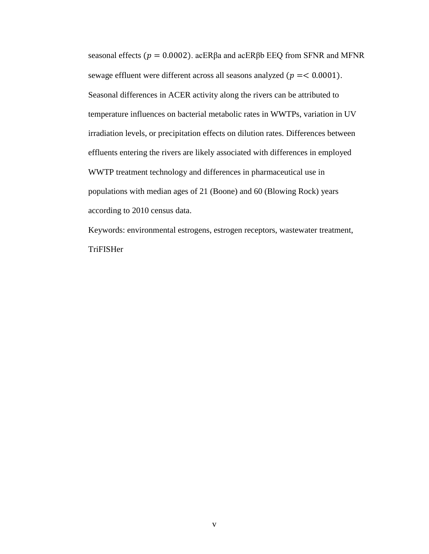seasonal effects ( $p = 0.0002$ ). acERβa and acERβb EEQ from SFNR and MFNR sewage effluent were different across all seasons analyzed ( $p = < 0.0001$ ). Seasonal differences in ACER activity along the rivers can be attributed to temperature influences on bacterial metabolic rates in WWTPs, variation in UV irradiation levels, or precipitation effects on dilution rates. Differences between effluents entering the rivers are likely associated with differences in employed WWTP treatment technology and differences in pharmaceutical use in populations with median ages of 21 (Boone) and 60 (Blowing Rock) years according to 2010 census data.

Keywords: environmental estrogens, estrogen receptors, wastewater treatment, TriFISHer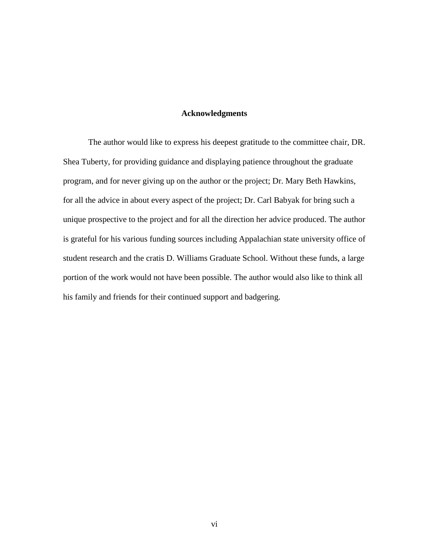### **Acknowledgments**

The author would like to express his deepest gratitude to the committee chair, DR. Shea Tuberty, for providing guidance and displaying patience throughout the graduate program, and for never giving up on the author or the project; Dr. Mary Beth Hawkins, for all the advice in about every aspect of the project; Dr. Carl Babyak for bring such a unique prospective to the project and for all the direction her advice produced. The author is grateful for his various funding sources including Appalachian state university office of student research and the cratis D. Williams Graduate School. Without these funds, a large portion of the work would not have been possible. The author would also like to think all his family and friends for their continued support and badgering.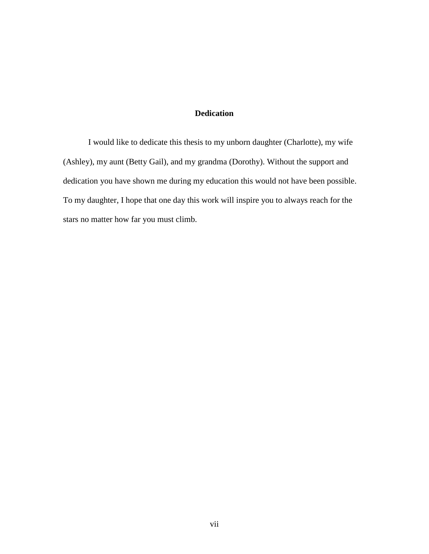## **Dedication**

I would like to dedicate this thesis to my unborn daughter (Charlotte), my wife (Ashley), my aunt (Betty Gail), and my grandma (Dorothy). Without the support and dedication you have shown me during my education this would not have been possible. To my daughter, I hope that one day this work will inspire you to always reach for the stars no matter how far you must climb.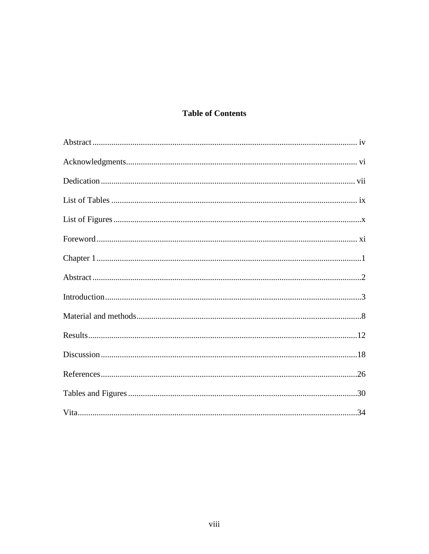## **Table of Contents**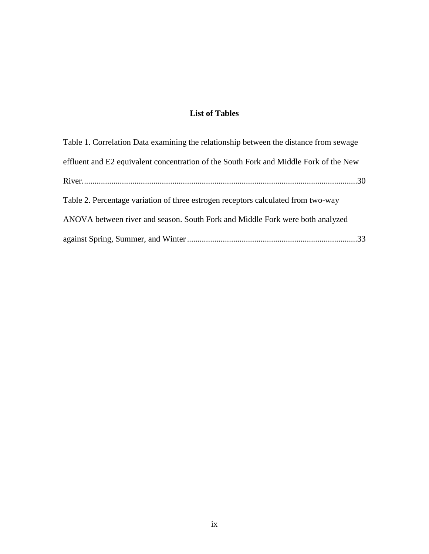## **List of Tables**

| Table 1. Correlation Data examining the relationship between the distance from sewage |
|---------------------------------------------------------------------------------------|
| effluent and E2 equivalent concentration of the South Fork and Middle Fork of the New |
|                                                                                       |
| Table 2. Percentage variation of three estrogen receptors calculated from two-way     |
| ANOVA between river and season. South Fork and Middle Fork were both analyzed         |
|                                                                                       |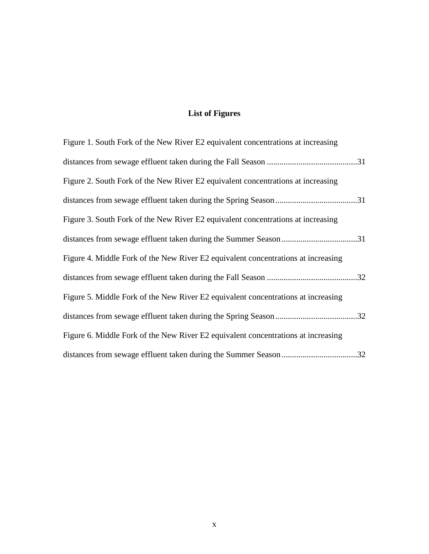# **List of Figures**

| Figure 1. South Fork of the New River E2 equivalent concentrations at increasing  |
|-----------------------------------------------------------------------------------|
|                                                                                   |
| Figure 2. South Fork of the New River E2 equivalent concentrations at increasing  |
|                                                                                   |
| Figure 3. South Fork of the New River E2 equivalent concentrations at increasing  |
|                                                                                   |
| Figure 4. Middle Fork of the New River E2 equivalent concentrations at increasing |
|                                                                                   |
| Figure 5. Middle Fork of the New River E2 equivalent concentrations at increasing |
|                                                                                   |
| Figure 6. Middle Fork of the New River E2 equivalent concentrations at increasing |
|                                                                                   |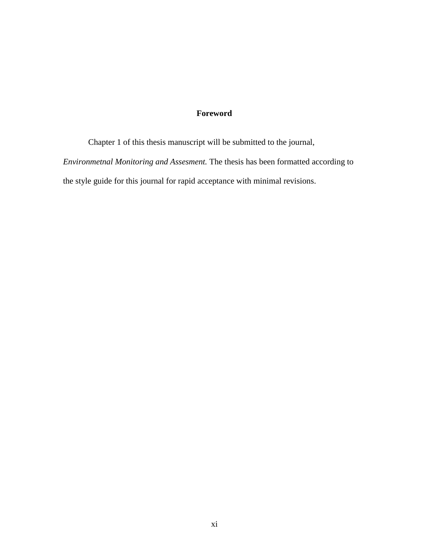## **Foreword**

Chapter 1 of this thesis manuscript will be submitted to the journal, *Environmetnal Monitoring and Assesment.* The thesis has been formatted according to the style guide for this journal for rapid acceptance with minimal revisions.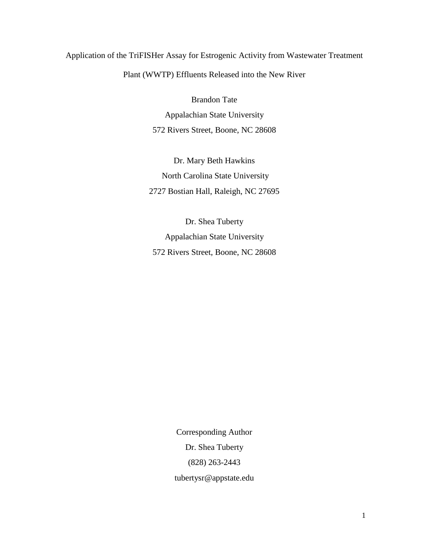## Application of the TriFISHer Assay for Estrogenic Activity from Wastewater Treatment

Plant (WWTP) Effluents Released into the New River

Brandon Tate

Appalachian State University 572 Rivers Street, Boone, NC 28608

Dr. Mary Beth Hawkins North Carolina State University 2727 Bostian Hall, Raleigh, NC 27695

Dr. Shea Tuberty Appalachian State University 572 Rivers Street, Boone, NC 28608

> Corresponding Author Dr. Shea Tuberty (828) 263-2443 tubertysr@appstate.edu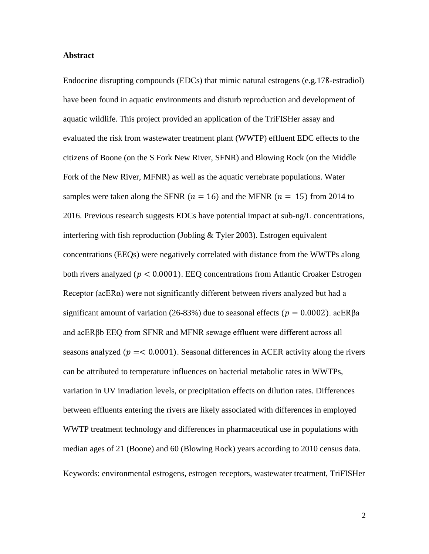#### **Abstract**

Endocrine disrupting compounds (EDCs) that mimic natural estrogens (e.g.17ß-estradiol) have been found in aquatic environments and disturb reproduction and development of aquatic wildlife. This project provided an application of the TriFISHer assay and evaluated the risk from wastewater treatment plant (WWTP) effluent EDC effects to the citizens of Boone (on the S Fork New River, SFNR) and Blowing Rock (on the Middle Fork of the New River, MFNR) as well as the aquatic vertebrate populations. Water samples were taken along the SFNR ( $n = 16$ ) and the MFNR ( $n = 15$ ) from 2014 to 2016. Previous research suggests EDCs have potential impact at sub-ng/L concentrations, interfering with fish reproduction (Jobling  $&$  Tyler 2003). Estrogen equivalent concentrations (EEQs) were negatively correlated with distance from the WWTPs along both rivers analyzed ( $p < 0.0001$ ). EEQ concentrations from Atlantic Croaker Estrogen Receptor (acERα) were not significantly different between rivers analyzed but had a significant amount of variation (26-83%) due to seasonal effects ( $p = 0.0002$ ). acER $\beta$ a and acERβb EEQ from SFNR and MFNR sewage effluent were different across all seasons analyzed ( $p = 0.0001$ ). Seasonal differences in ACER activity along the rivers can be attributed to temperature influences on bacterial metabolic rates in WWTPs, variation in UV irradiation levels, or precipitation effects on dilution rates. Differences between effluents entering the rivers are likely associated with differences in employed WWTP treatment technology and differences in pharmaceutical use in populations with median ages of 21 (Boone) and 60 (Blowing Rock) years according to 2010 census data. Keywords: environmental estrogens, estrogen receptors, wastewater treatment, TriFISHer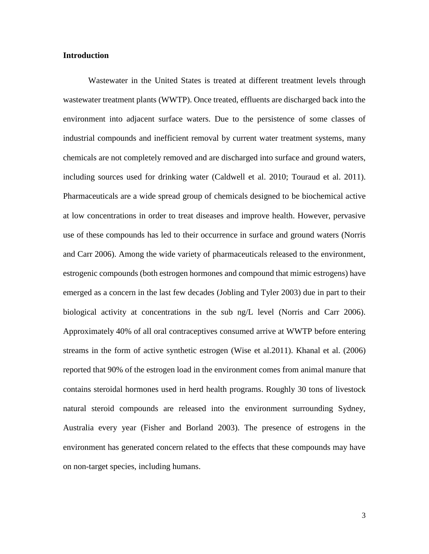#### **Introduction**

Wastewater in the United States is treated at different treatment levels through wastewater treatment plants (WWTP). Once treated, effluents are discharged back into the environment into adjacent surface waters. Due to the persistence of some classes of industrial compounds and inefficient removal by current water treatment systems, many chemicals are not completely removed and are discharged into surface and ground waters, including sources used for drinking water (Caldwell et al. 2010; Touraud et al. 2011). Pharmaceuticals are a wide spread group of chemicals designed to be biochemical active at low concentrations in order to treat diseases and improve health. However, pervasive use of these compounds has led to their occurrence in surface and ground waters (Norris and Carr 2006). Among the wide variety of pharmaceuticals released to the environment, estrogenic compounds (both estrogen hormones and compound that mimic estrogens) have emerged as a concern in the last few decades (Jobling and Tyler 2003) due in part to their biological activity at concentrations in the sub ng/L level (Norris and Carr 2006). Approximately 40% of all oral contraceptives consumed arrive at WWTP before entering streams in the form of active synthetic estrogen (Wise et al.2011). Khanal et al. (2006) reported that 90% of the estrogen load in the environment comes from animal manure that contains steroidal hormones used in herd health programs. Roughly 30 tons of livestock natural steroid compounds are released into the environment surrounding Sydney, Australia every year (Fisher and Borland 2003). The presence of estrogens in the environment has generated concern related to the effects that these compounds may have on non-target species, including humans.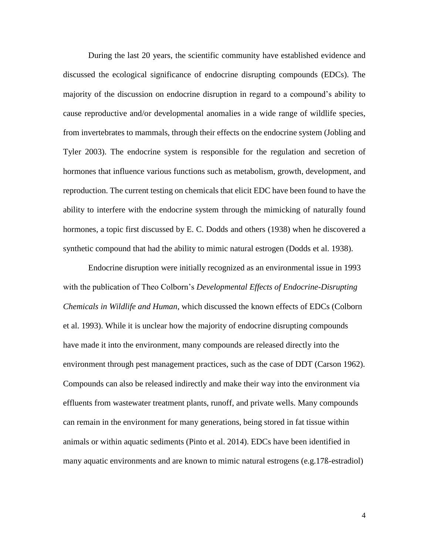During the last 20 years, the scientific community have established evidence and discussed the ecological significance of endocrine disrupting compounds (EDCs). The majority of the discussion on endocrine disruption in regard to a compound's ability to cause reproductive and/or developmental anomalies in a wide range of wildlife species, from invertebrates to mammals, through their effects on the endocrine system (Jobling and Tyler 2003). The endocrine system is responsible for the regulation and secretion of hormones that influence various functions such as metabolism, growth, development, and reproduction. The current testing on chemicals that elicit EDC have been found to have the ability to interfere with the endocrine system through the mimicking of naturally found hormones, a topic first discussed by E. C. Dodds and others (1938) when he discovered a synthetic compound that had the ability to mimic natural estrogen (Dodds et al. 1938).

Endocrine disruption were initially recognized as an environmental issue in 1993 with the publication of Theo Colborn's *Developmental Effects of Endocrine-Disrupting Chemicals in Wildlife and Human*, which discussed the known effects of EDCs (Colborn et al. 1993). While it is unclear how the majority of endocrine disrupting compounds have made it into the environment, many compounds are released directly into the environment through pest management practices, such as the case of DDT (Carson 1962). Compounds can also be released indirectly and make their way into the environment via effluents from wastewater treatment plants, runoff, and private wells. Many compounds can remain in the environment for many generations, being stored in fat tissue within animals or within aquatic sediments (Pinto et al. 2014). EDCs have been identified in many aquatic environments and are known to mimic natural estrogens (e.g.17ß-estradiol)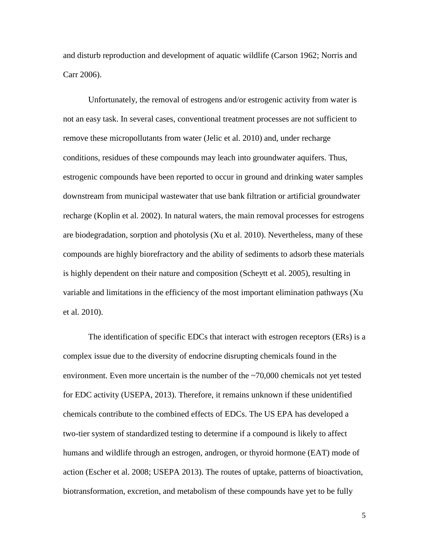and disturb reproduction and development of aquatic wildlife (Carson 1962; Norris and Carr 2006).

Unfortunately, the removal of estrogens and/or estrogenic activity from water is not an easy task. In several cases, conventional treatment processes are not sufficient to remove these micropollutants from water (Jelic et al. 2010) and, under recharge conditions, residues of these compounds may leach into groundwater aquifers. Thus, estrogenic compounds have been reported to occur in ground and drinking water samples downstream from municipal wastewater that use bank filtration or artificial groundwater recharge (Koplin et al. 2002). In natural waters, the main removal processes for estrogens are biodegradation, sorption and photolysis (Xu et al. 2010). Nevertheless, many of these compounds are highly biorefractory and the ability of sediments to adsorb these materials is highly dependent on their nature and composition (Scheytt et al. 2005), resulting in variable and limitations in the efficiency of the most important elimination pathways (Xu et al. 2010).

The identification of specific EDCs that interact with estrogen receptors (ERs) is a complex issue due to the diversity of endocrine disrupting chemicals found in the environment. Even more uncertain is the number of the ~70,000 chemicals not yet tested for EDC activity (USEPA, 2013). Therefore, it remains unknown if these unidentified chemicals contribute to the combined effects of EDCs. The US EPA has developed a two-tier system of standardized testing to determine if a compound is likely to affect humans and wildlife through an estrogen, androgen, or thyroid hormone (EAT) mode of action (Escher et al. 2008; USEPA 2013). The routes of uptake, patterns of bioactivation, biotransformation, excretion, and metabolism of these compounds have yet to be fully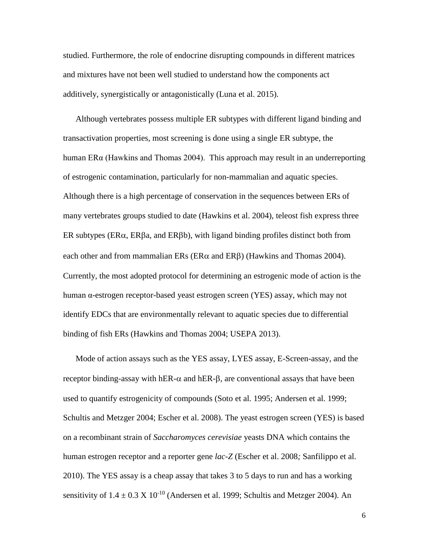studied. Furthermore, the role of endocrine disrupting compounds in different matrices and mixtures have not been well studied to understand how the components act additively, synergistically or antagonistically (Luna et al. 2015).

Although vertebrates possess multiple ER subtypes with different ligand binding and transactivation properties, most screening is done using a single ER subtype, the human ERα (Hawkins and Thomas 2004). This approach may result in an underreporting of estrogenic contamination, particularly for non-mammalian and aquatic species. Although there is a high percentage of conservation in the sequences between ERs of many vertebrates groups studied to date (Hawkins et al. 2004), teleost fish express three ER subtypes ( $ER\alpha$ ,  $ER\beta a$ , and  $ER\beta b$ ), with ligand binding profiles distinct both from each other and from mammalian  $ERs$  ( $ER\alpha$  and  $ER\beta$ ) (Hawkins and Thomas 2004). Currently, the most adopted protocol for determining an estrogenic mode of action is the human α-estrogen receptor-based yeast estrogen screen (YES) assay, which may not identify EDCs that are environmentally relevant to aquatic species due to differential binding of fish ERs (Hawkins and Thomas 2004; USEPA 2013).

Mode of action assays such as the YES assay, LYES assay, E-Screen-assay, and the receptor binding-assay with hER- $\alpha$  and hER- $\beta$ , are conventional assays that have been used to quantify estrogenicity of compounds (Soto et al. 1995; Andersen et al. 1999; Schultis and Metzger 2004; Escher et al. 2008). The yeast estrogen screen (YES) is based on a recombinant strain of *Saccharomyces cerevisiae* yeasts DNA which contains the human estrogen receptor and a reporter gene *lac-Z* (Escher et al. 2008*;* Sanfilippo et al. 2010). The YES assay is a cheap assay that takes 3 to 5 days to run and has a working sensitivity of  $1.4 \pm 0.3 \times 10^{-10}$  (Andersen et al. 1999; Schultis and Metzger 2004). An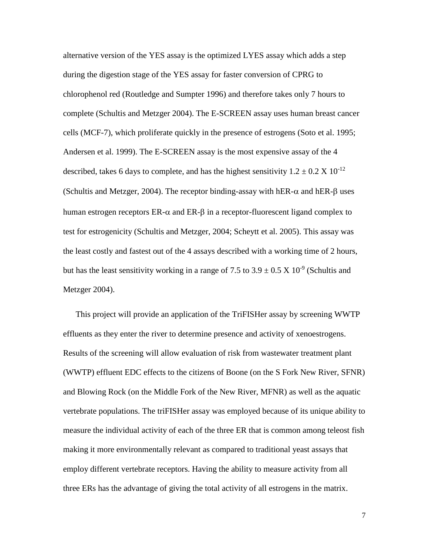alternative version of the YES assay is the optimized LYES assay which adds a step during the digestion stage of the YES assay for faster conversion of CPRG to chlorophenol red (Routledge and Sumpter 1996) and therefore takes only 7 hours to complete (Schultis and Metzger 2004). The E-SCREEN assay uses human breast cancer cells (MCF-7), which proliferate quickly in the presence of estrogens (Soto et al. 1995; Andersen et al. 1999). The E-SCREEN assay is the most expensive assay of the 4 described, takes 6 days to complete, and has the highest sensitivity  $1.2 \pm 0.2 \times 10^{-12}$ (Schultis and Metzger, 2004). The receptor binding-assay with hER- $\alpha$  and hER- $\beta$  uses human estrogen receptors  $ER-\alpha$  and  $ER-\beta$  in a receptor-fluorescent ligand complex to test for estrogenicity (Schultis and Metzger, 2004; Scheytt et al. 2005). This assay was the least costly and fastest out of the 4 assays described with a working time of 2 hours, but has the least sensitivity working in a range of 7.5 to  $3.9 \pm 0.5 \times 10^{-9}$  (Schultis and Metzger 2004).

This project will provide an application of the TriFISHer assay by screening WWTP effluents as they enter the river to determine presence and activity of xenoestrogens. Results of the screening will allow evaluation of risk from wastewater treatment plant (WWTP) effluent EDC effects to the citizens of Boone (on the S Fork New River, SFNR) and Blowing Rock (on the Middle Fork of the New River, MFNR) as well as the aquatic vertebrate populations. The triFISHer assay was employed because of its unique ability to measure the individual activity of each of the three ER that is common among teleost fish making it more environmentally relevant as compared to traditional yeast assays that employ different vertebrate receptors. Having the ability to measure activity from all three ERs has the advantage of giving the total activity of all estrogens in the matrix.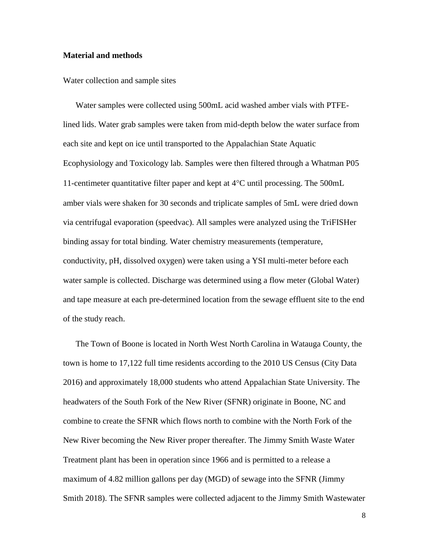#### **Material and methods**

Water collection and sample sites

Water samples were collected using 500mL acid washed amber vials with PTFElined lids. Water grab samples were taken from mid-depth below the water surface from each site and kept on ice until transported to the Appalachian State Aquatic Ecophysiology and Toxicology lab. Samples were then filtered through a Whatman P05 11-centimeter quantitative filter paper and kept at  $4^{\circ}$ C until processing. The 500mL amber vials were shaken for 30 seconds and triplicate samples of 5mL were dried down via centrifugal evaporation (speedvac). All samples were analyzed using the TriFISHer binding assay for total binding. Water chemistry measurements (temperature, conductivity, pH, dissolved oxygen) were taken using a YSI multi-meter before each water sample is collected. Discharge was determined using a flow meter (Global Water) and tape measure at each pre-determined location from the sewage effluent site to the end of the study reach.

The Town of Boone is located in North West North Carolina in Watauga County, the town is home to 17,122 full time residents according to the 2010 US Census (City Data 2016) and approximately 18,000 students who attend Appalachian State University. The headwaters of the South Fork of the New River (SFNR) originate in Boone, NC and combine to create the SFNR which flows north to combine with the North Fork of the New River becoming the New River proper thereafter. The Jimmy Smith Waste Water Treatment plant has been in operation since 1966 and is permitted to a release a maximum of 4.82 million gallons per day (MGD) of sewage into the SFNR (Jimmy Smith 2018). The SFNR samples were collected adjacent to the Jimmy Smith Wastewater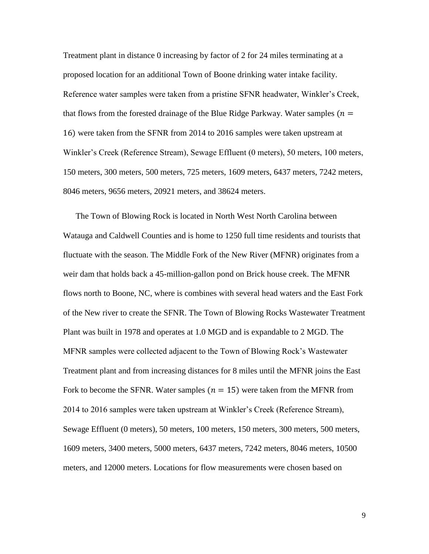Treatment plant in distance 0 increasing by factor of 2 for 24 miles terminating at a proposed location for an additional Town of Boone drinking water intake facility. Reference water samples were taken from a pristine SFNR headwater, Winkler's Creek, that flows from the forested drainage of the Blue Ridge Parkway. Water samples ( $n =$ 16) were taken from the SFNR from 2014 to 2016 samples were taken upstream at Winkler's Creek (Reference Stream), Sewage Effluent (0 meters), 50 meters, 100 meters, 150 meters, 300 meters, 500 meters, 725 meters, 1609 meters, 6437 meters, 7242 meters, 8046 meters, 9656 meters, 20921 meters, and 38624 meters.

The Town of Blowing Rock is located in North West North Carolina between Watauga and Caldwell Counties and is home to 1250 full time residents and tourists that fluctuate with the season. The Middle Fork of the New River (MFNR) originates from a weir dam that holds back a 45-million-gallon pond on Brick house creek. The MFNR flows north to Boone, NC, where is combines with several head waters and the East Fork of the New river to create the SFNR. The Town of Blowing Rocks Wastewater Treatment Plant was built in 1978 and operates at 1.0 MGD and is expandable to 2 MGD. The MFNR samples were collected adjacent to the Town of Blowing Rock's Wastewater Treatment plant and from increasing distances for 8 miles until the MFNR joins the East Fork to become the SFNR. Water samples ( $n = 15$ ) were taken from the MFNR from 2014 to 2016 samples were taken upstream at Winkler's Creek (Reference Stream), Sewage Effluent (0 meters), 50 meters, 100 meters, 150 meters, 300 meters, 500 meters, 1609 meters, 3400 meters, 5000 meters, 6437 meters, 7242 meters, 8046 meters, 10500 meters, and 12000 meters. Locations for flow measurements were chosen based on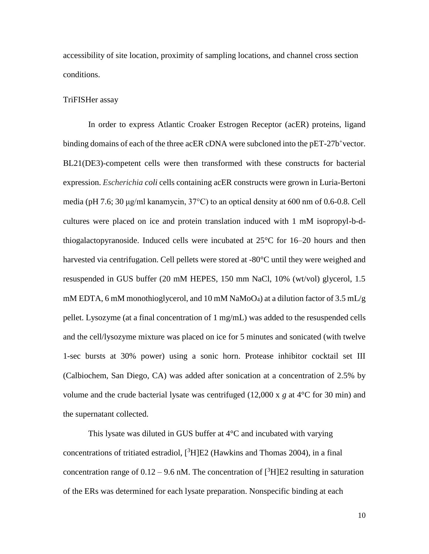accessibility of site location, proximity of sampling locations, and channel cross section conditions.

#### TriFISHer assay

In order to express Atlantic Croaker Estrogen Receptor (acER) proteins, ligand binding domains of each of the three acER cDNA were subcloned into the pET-27b<sup>+</sup>vector. BL21(DE3)-competent cells were then transformed with these constructs for bacterial expression. *Escherichia coli* cells containing acER constructs were grown in Luria-Bertoni media (pH 7.6; 30 μg/ml kanamycin, 37°C) to an optical density at 600 nm of 0.6-0.8. Cell cultures were placed on ice and protein translation induced with 1 mM isopropyl-b-dthiogalactopyranoside. Induced cells were incubated at 25°C for 16–20 hours and then harvested via centrifugation. Cell pellets were stored at -80°C until they were weighed and resuspended in GUS buffer (20 mM HEPES, 150 mm NaCl, 10% (wt/vol) glycerol, 1.5 mM EDTA, 6 mM monothioglycerol, and 10 mM NaMoO<sub>4</sub>) at a dilution factor of 3.5 mL/g pellet. Lysozyme (at a final concentration of 1 mg/mL) was added to the resuspended cells and the cell/lysozyme mixture was placed on ice for 5 minutes and sonicated (with twelve 1-sec bursts at 30% power) using a sonic horn. Protease inhibitor cocktail set III (Calbiochem, San Diego, CA) was added after sonication at a concentration of 2.5% by volume and the crude bacterial lysate was centrifuged (12,000 x *g* at 4°C for 30 min) and the supernatant collected.

This lysate was diluted in GUS buffer at  $4^{\circ}$ C and incubated with varying concentrations of tritiated estradiol,  $[{}^{3}H]E2$  (Hawkins and Thomas 2004), in a final concentration range of  $0.12 - 9.6$  nM. The concentration of  $[^{3}H]E2$  resulting in saturation of the ERs was determined for each lysate preparation. Nonspecific binding at each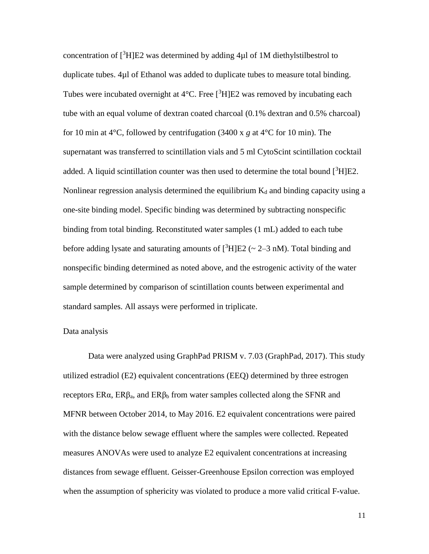concentration of  $[3H]E2$  was determined by adding 4 $\mu$ l of 1M diethylstilbestrol to duplicate tubes. 4µl of Ethanol was added to duplicate tubes to measure total binding. Tubes were incubated overnight at  $4^{\circ}$ C. Free  $[{}^{3}H]E2$  was removed by incubating each tube with an equal volume of dextran coated charcoal (0.1% dextran and 0.5% charcoal) for 10 min at 4°C, followed by centrifugation (3400 x *g* at 4°C for 10 min). The supernatant was transferred to scintillation vials and 5 ml CytoScint scintillation cocktail added. A liquid scintillation counter was then used to determine the total bound  $[{}^{3}H]E2$ . Nonlinear regression analysis determined the equilibrium  $K_d$  and binding capacity using a one-site binding model. Specific binding was determined by subtracting nonspecific binding from total binding. Reconstituted water samples (1 mL) added to each tube before adding lysate and saturating amounts of  $\binom{3}{1}E2$  ( $\sim$  2–3 nM). Total binding and nonspecific binding determined as noted above, and the estrogenic activity of the water sample determined by comparison of scintillation counts between experimental and standard samples. All assays were performed in triplicate.

#### Data analysis

Data were analyzed using GraphPad PRISM v. 7.03 (GraphPad, 2017). This study utilized estradiol (E2) equivalent concentrations (EEQ) determined by three estrogen receptors  $ERα$ ,  $ERβ_a$ , and  $ERβ_b$  from water samples collected along the SFNR and MFNR between October 2014, to May 2016. E2 equivalent concentrations were paired with the distance below sewage effluent where the samples were collected. Repeated measures ANOVAs were used to analyze E2 equivalent concentrations at increasing distances from sewage effluent. Geisser-Greenhouse Epsilon correction was employed when the assumption of sphericity was violated to produce a more valid critical F-value.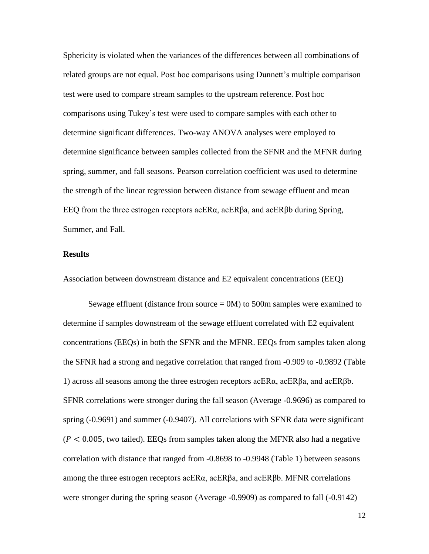Sphericity is violated when the variances of the differences between all combinations of related groups are not equal. Post hoc comparisons using Dunnett's multiple comparison test were used to compare stream samples to the upstream reference. Post hoc comparisons using Tukey's test were used to compare samples with each other to determine significant differences. Two-way ANOVA analyses were employed to determine significance between samples collected from the SFNR and the MFNR during spring, summer, and fall seasons. Pearson correlation coefficient was used to determine the strength of the linear regression between distance from sewage effluent and mean EEQ from the three estrogen receptors  $\alpha$ CER $\beta$ a, and  $\alpha$ CER $\beta$ b during Spring, Summer, and Fall.

### **Results**

Association between downstream distance and E2 equivalent concentrations (EEQ)

Sewage effluent (distance from source = 0M) to 500m samples were examined to determine if samples downstream of the sewage effluent correlated with E2 equivalent concentrations (EEQs) in both the SFNR and the MFNR. EEQs from samples taken along the SFNR had a strong and negative correlation that ranged from -0.909 to -0.9892 (Table 1) across all seasons among the three estrogen receptors acER $α$ , acER $β$ a, and acER $β$ b. SFNR correlations were stronger during the fall season (Average -0.9696) as compared to spring (-0.9691) and summer (-0.9407). All correlations with SFNR data were significant  $(P < 0.005$ , two tailed). EEQs from samples taken along the MFNR also had a negative correlation with distance that ranged from -0.8698 to -0.9948 (Table 1) between seasons among the three estrogen receptors acERα, acERβa, and acERβb. MFNR correlations were stronger during the spring season (Average -0.9909) as compared to fall (-0.9142)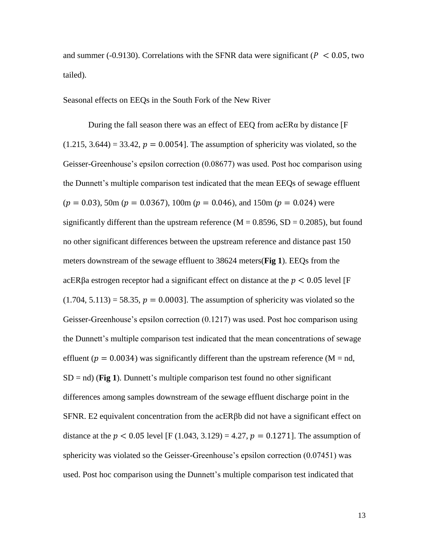and summer (-0.9130). Correlations with the SFNR data were significant ( $P < 0.05$ , two tailed).

Seasonal effects on EEQs in the South Fork of the New River

During the fall season there was an effect of EEQ from acER $\alpha$  by distance [F]  $(1.215, 3.644) = 33.42$ ,  $p = 0.0054$ . The assumption of sphericity was violated, so the Geisser-Greenhouse's epsilon correction (0.08677) was used. Post hoc comparison using the Dunnett's multiple comparison test indicated that the mean EEQs of sewage effluent  $(p = 0.03)$ , 50m  $(p = 0.0367)$ , 100m  $(p = 0.046)$ , and 150m  $(p = 0.024)$  were significantly different than the upstream reference ( $M = 0.8596$ ,  $SD = 0.2085$ ), but found no other significant differences between the upstream reference and distance past 150 meters downstream of the sewage effluent to 38624 meters(**Fig 1**). EEQs from the acERβa estrogen receptor had a significant effect on distance at the  $p < 0.05$  level [F  $(1.704, 5.113) = 58.35, p = 0.0003$ . The assumption of sphericity was violated so the Geisser-Greenhouse's epsilon correction (0.1217) was used. Post hoc comparison using the Dunnett's multiple comparison test indicated that the mean concentrations of sewage effluent ( $p = 0.0034$ ) was significantly different than the upstream reference (M = nd,  $SD = nd$ ) (**Fig 1**). Dunnett's multiple comparison test found no other significant differences among samples downstream of the sewage effluent discharge point in the SFNR. E2 equivalent concentration from the acERβb did not have a significant effect on distance at the  $p < 0.05$  level [F (1.043, 3.129) = 4.27,  $p = 0.1271$ ]. The assumption of sphericity was violated so the Geisser-Greenhouse's epsilon correction (0.07451) was used. Post hoc comparison using the Dunnett's multiple comparison test indicated that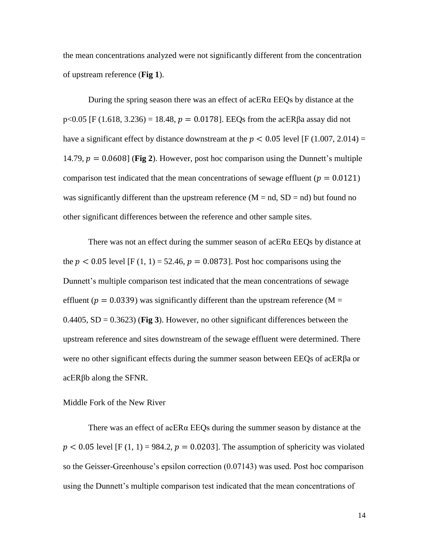the mean concentrations analyzed were not significantly different from the concentration of upstream reference (**Fig 1**).

During the spring season there was an effect of acERα EEQs by distance at the  $p<0.05$  [F (1.618, 3.236) = 18.48,  $p = 0.0178$ ]. EEQs from the acERβa assay did not have a significant effect by distance downstream at the  $p < 0.05$  level [F (1.007, 2.014) = 14.79,  $p = 0.0608$  (Fig 2). However, post hoc comparison using the Dunnett's multiple comparison test indicated that the mean concentrations of sewage effluent ( $p = 0.0121$ ) was significantly different than the upstream reference  $(M = nd, SD = nd)$  but found no other significant differences between the reference and other sample sites.

There was not an effect during the summer season of acERα EEQs by distance at the  $p < 0.05$  level [F (1, 1) = 52.46,  $p = 0.0873$ ]. Post hoc comparisons using the Dunnett's multiple comparison test indicated that the mean concentrations of sewage effluent ( $p = 0.0339$ ) was significantly different than the upstream reference (M = 0.4405,  $SD = 0.3623$  (Fig 3). However, no other significant differences between the upstream reference and sites downstream of the sewage effluent were determined. There were no other significant effects during the summer season between EEQs of acERβa or acERβb along the SFNR.

#### Middle Fork of the New River

There was an effect of acERα EEQs during the summer season by distance at the  $p < 0.05$  level [F (1, 1) = 984.2,  $p = 0.0203$ ]. The assumption of sphericity was violated so the Geisser-Greenhouse's epsilon correction (0.07143) was used. Post hoc comparison using the Dunnett's multiple comparison test indicated that the mean concentrations of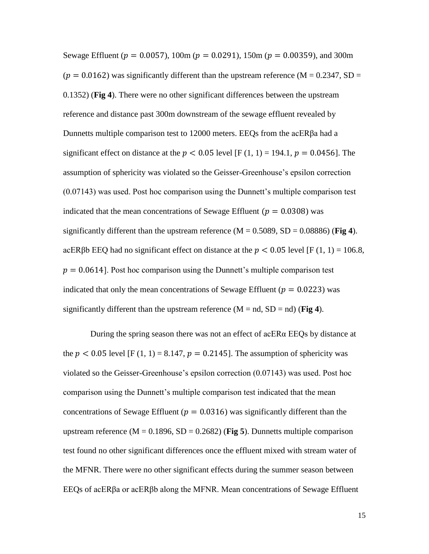Sewage Effluent ( $p = 0.0057$ ), 100m ( $p = 0.0291$ ), 150m ( $p = 0.00359$ ), and 300m  $(p = 0.0162)$  was significantly different than the upstream reference (M = 0.2347, SD = 0.1352) (**Fig 4**). There were no other significant differences between the upstream reference and distance past 300m downstream of the sewage effluent revealed by Dunnetts multiple comparison test to 12000 meters. EEQs from the acERβa had a significant effect on distance at the  $p < 0.05$  level [F (1, 1) = 194.1,  $p = 0.0456$ ]. The assumption of sphericity was violated so the Geisser-Greenhouse's epsilon correction (0.07143) was used. Post hoc comparison using the Dunnett's multiple comparison test indicated that the mean concentrations of Sewage Effluent ( $p = 0.0308$ ) was significantly different than the upstream reference  $(M = 0.5089, SD = 0.08886)$  (**Fig 4**). acERβb EEQ had no significant effect on distance at the  $p < 0.05$  level [F (1, 1) = 106.8,  $p = 0.0614$ . Post hoc comparison using the Dunnett's multiple comparison test indicated that only the mean concentrations of Sewage Effluent ( $p = 0.0223$ ) was significantly different than the upstream reference  $(M = nd, SD = nd)$  (**Fig 4**).

During the spring season there was not an effect of acERα EEQs by distance at the  $p < 0.05$  level [F (1, 1) = 8.147,  $p = 0.2145$ ]. The assumption of sphericity was violated so the Geisser-Greenhouse's epsilon correction (0.07143) was used. Post hoc comparison using the Dunnett's multiple comparison test indicated that the mean concentrations of Sewage Effluent ( $p = 0.0316$ ) was significantly different than the upstream reference  $(M = 0.1896, SD = 0.2682)$  (Fig 5). Dunnetts multiple comparison test found no other significant differences once the effluent mixed with stream water of the MFNR. There were no other significant effects during the summer season between EEQs of acERβa or acERβb along the MFNR. Mean concentrations of Sewage Effluent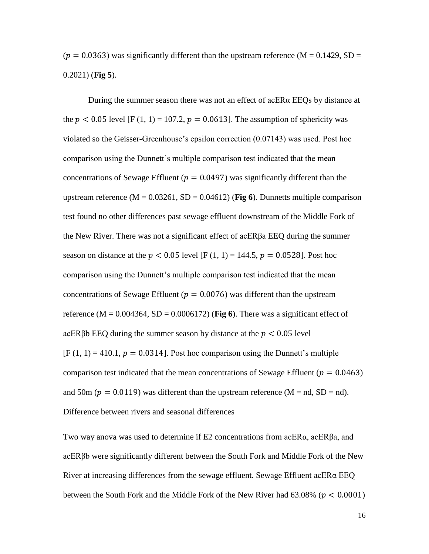$(p = 0.0363)$  was significantly different than the upstream reference (M = 0.1429, SD = 0.2021) (**Fig 5**).

During the summer season there was not an effect of acERα EEQs by distance at the  $p < 0.05$  level [F (1, 1) = 107.2,  $p = 0.0613$ ]. The assumption of sphericity was violated so the Geisser-Greenhouse's epsilon correction (0.07143) was used. Post hoc comparison using the Dunnett's multiple comparison test indicated that the mean concentrations of Sewage Effluent ( $p = 0.0497$ ) was significantly different than the upstream reference  $(M = 0.03261, SD = 0.04612)$  (Fig 6). Dunnetts multiple comparison test found no other differences past sewage effluent downstream of the Middle Fork of the New River. There was not a significant effect of acERβa EEQ during the summer season on distance at the  $p < 0.05$  level [F (1, 1) = 144.5,  $p = 0.0528$ ]. Post hoc comparison using the Dunnett's multiple comparison test indicated that the mean concentrations of Sewage Effluent ( $p = 0.0076$ ) was different than the upstream reference ( $M = 0.004364$ ,  $SD = 0.0006172$ ) (**Fig 6**). There was a significant effect of acERβb EEQ during the summer season by distance at the  $p < 0.05$  level  $[F(1, 1) = 410.1, p = 0.0314]$ . Post hoc comparison using the Dunnett's multiple comparison test indicated that the mean concentrations of Sewage Effluent ( $p = 0.0463$ ) and 50m ( $p = 0.0119$ ) was different than the upstream reference (M = nd, SD = nd). Difference between rivers and seasonal differences

Two way anova was used to determine if E2 concentrations from acERα, acERβa, and acERβb were significantly different between the South Fork and Middle Fork of the New River at increasing differences from the sewage effluent. Sewage Effluent acERα EEQ between the South Fork and the Middle Fork of the New River had  $63.08\%$  ( $p < 0.0001$ )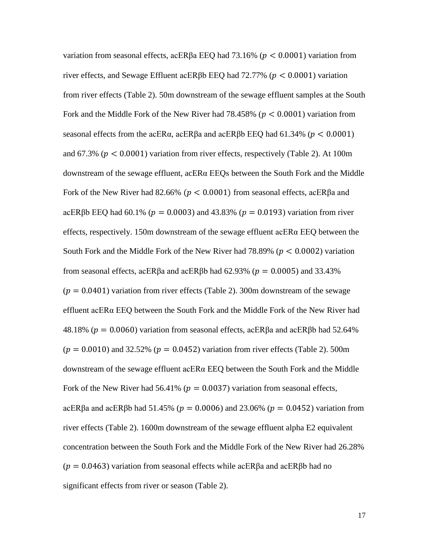variation from seasonal effects, acERβa EEQ had 73.16% ( $p < 0.0001$ ) variation from river effects, and Sewage Effluent acERβb EEQ had  $72.77\%$  ( $p < 0.0001$ ) variation from river effects (Table 2). 50m downstream of the sewage effluent samples at the South Fork and the Middle Fork of the New River had  $78.458\%$  ( $p < 0.0001$ ) variation from seasonal effects from the acER $\alpha$ , acER $\beta$ a and acER $\beta$ b EEQ had 61.34% ( $p < 0.0001$ ) and 67.3% ( $p < 0.0001$ ) variation from river effects, respectively (Table 2). At 100m downstream of the sewage effluent, acERα EEQs between the South Fork and the Middle Fork of the New River had 82.66% ( $p < 0.0001$ ) from seasonal effects, acER $\beta$ a and acERβb EEQ had 60.1% ( $p = 0.0003$ ) and 43.83% ( $p = 0.0193$ ) variation from river effects, respectively. 150m downstream of the sewage effluent acER $\alpha$  EEQ between the South Fork and the Middle Fork of the New River had 78.89% ( $p < 0.0002$ ) variation from seasonal effects, acERβa and acERβb had 62.93% ( $p = 0.0005$ ) and 33.43%  $(p = 0.0401)$  variation from river effects (Table 2). 300m downstream of the sewage effluent acERα EEQ between the South Fork and the Middle Fork of the New River had 48.18% ( $p = 0.0060$ ) variation from seasonal effects, acERβa and acERβb had 52.64%  $(p = 0.0010)$  and 32.52%  $(p = 0.0452)$  variation from river effects (Table 2). 500m downstream of the sewage effluent acERα EEQ between the South Fork and the Middle Fork of the New River had 56.41% ( $p = 0.0037$ ) variation from seasonal effects, acERβa and acERβb had 51.45% ( $p = 0.0006$ ) and 23.06% ( $p = 0.0452$ ) variation from river effects (Table 2). 1600m downstream of the sewage effluent alpha E2 equivalent concentration between the South Fork and the Middle Fork of the New River had 26.28%  $(p = 0.0463)$  variation from seasonal effects while acERβa and acERβb had no significant effects from river or season (Table 2).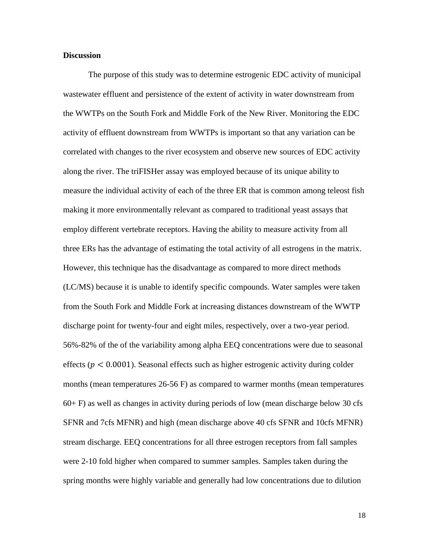#### **Discussion**

The purpose of this study was to determine estrogenic EDC activity of municipal wastewater effluent and persistence of the extent of activity in water downstream from the WWTPs on the South Fork and Middle Fork of the New River. Monitoring the EDC activity of effluent downstream from WWTPs is important so that any variation can be correlated with changes to the river ecosystem and observe new sources of EDC activity along the river. The triFISHer assay was employed because of its unique ability to measure the individual activity of each of the three ER that is common among teleost fish making it more environmentally relevant as compared to traditional yeast assays that employ different vertebrate receptors. Having the ability to measure activity from all three ERs has the advantage of estimating the total activity of all estrogens in the matrix. However, this technique has the disadvantage as compared to more direct methods (LC/MS) because it is unable to identify specific compounds. Water samples were taken from the South Fork and Middle Fork at increasing distances downstream of the WWTP discharge point for twenty-four and eight miles, respectively, over a two-year period. 56%-82% of the of the variability among alpha EEQ concentrations were due to seasonal effects ( $p < 0.0001$ ). Seasonal effects such as higher estrogenic activity during colder months (mean temperatures 26-56 F) as compared to warmer months (mean temperatures 60+ F) as well as changes in activity during periods of low (mean discharge below 30 cfs SFNR and 7cfs MFNR) and high (mean discharge above 40 cfs SFNR and 10cfs MFNR) stream discharge. EEQ concentrations for all three estrogen receptors from fall samples were 2-10 fold higher when compared to summer samples. Samples taken during the spring months were highly variable and generally had low concentrations due to dilution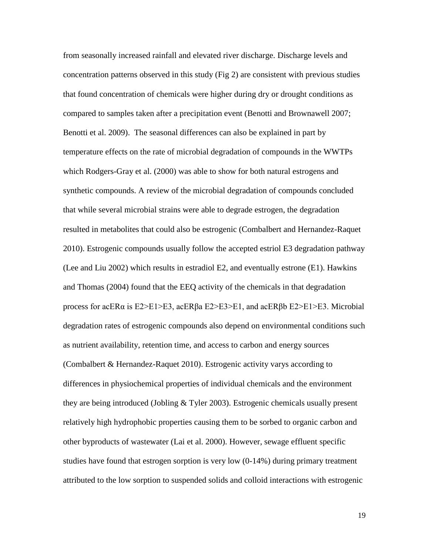from seasonally increased rainfall and elevated river discharge. Discharge levels and concentration patterns observed in this study (Fig 2) are consistent with previous studies that found concentration of chemicals were higher during dry or drought conditions as compared to samples taken after a precipitation event (Benotti and Brownawell 2007; Benotti et al. 2009). The seasonal differences can also be explained in part by temperature effects on the rate of microbial degradation of compounds in the WWTPs which Rodgers-Gray et al. (2000) was able to show for both natural estrogens and synthetic compounds. A review of the microbial degradation of compounds concluded that while several microbial strains were able to degrade estrogen, the degradation resulted in metabolites that could also be estrogenic (Combalbert and Hernandez-Raquet 2010). Estrogenic compounds usually follow the accepted estriol E3 degradation pathway (Lee and Liu 2002) which results in estradiol E2, and eventually estrone (E1). Hawkins and Thomas (2004) found that the EEQ activity of the chemicals in that degradation process for acERα is E2>E1>E3, acERβa E2>E3>E1, and acERβb E2>E1>E3. Microbial degradation rates of estrogenic compounds also depend on environmental conditions such as nutrient availability, retention time, and access to carbon and energy sources (Combalbert & Hernandez-Raquet 2010). Estrogenic activity varys according to differences in physiochemical properties of individual chemicals and the environment they are being introduced (Jobling & Tyler 2003). Estrogenic chemicals usually present relatively high hydrophobic properties causing them to be sorbed to organic carbon and other byproducts of wastewater (Lai et al. 2000). However, sewage effluent specific studies have found that estrogen sorption is very low (0-14%) during primary treatment attributed to the low sorption to suspended solids and colloid interactions with estrogenic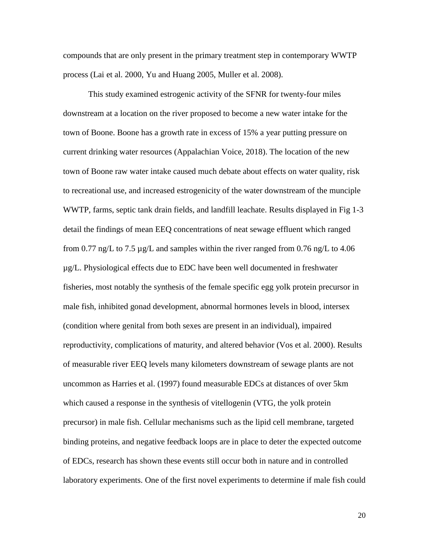compounds that are only present in the primary treatment step in contemporary WWTP process (Lai et al. 2000, Yu and Huang 2005, Muller et al. 2008).

This study examined estrogenic activity of the SFNR for twenty-four miles downstream at a location on the river proposed to become a new water intake for the town of Boone. Boone has a growth rate in excess of 15% a year putting pressure on current drinking water resources (Appalachian Voice, 2018). The location of the new town of Boone raw water intake caused much debate about effects on water quality, risk to recreational use, and increased estrogenicity of the water downstream of the munciple WWTP, farms, septic tank drain fields, and landfill leachate. Results displayed in Fig 1-3 detail the findings of mean EEQ concentrations of neat sewage effluent which ranged from 0.77 ng/L to 7.5  $\mu$ g/L and samples within the river ranged from 0.76 ng/L to 4.06 µg/L. Physiological effects due to EDC have been well documented in freshwater fisheries, most notably the synthesis of the female specific egg yolk protein precursor in male fish, inhibited gonad development, abnormal hormones levels in blood, intersex (condition where genital from both sexes are present in an individual), impaired reproductivity, complications of maturity, and altered behavior (Vos et al. 2000). Results of measurable river EEQ levels many kilometers downstream of sewage plants are not uncommon as Harries et al. (1997) found measurable EDCs at distances of over 5km which caused a response in the synthesis of vitellogenin (VTG, the yolk protein precursor) in male fish. Cellular mechanisms such as the lipid cell membrane, targeted binding proteins, and negative feedback loops are in place to deter the expected outcome of EDCs, research has shown these events still occur both in nature and in controlled laboratory experiments. One of the first novel experiments to determine if male fish could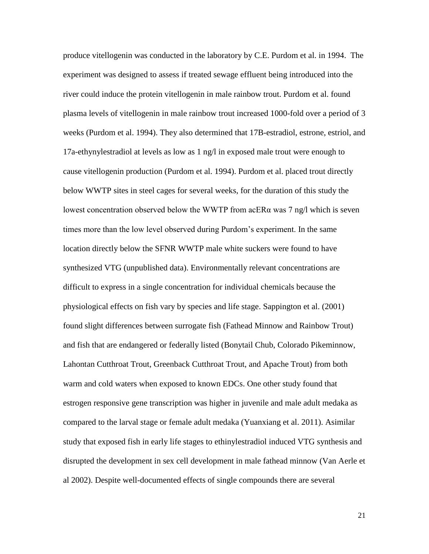produce vitellogenin was conducted in the laboratory by C.E. Purdom et al. in 1994. The experiment was designed to assess if treated sewage effluent being introduced into the river could induce the protein vitellogenin in male rainbow trout. Purdom et al. found plasma levels of vitellogenin in male rainbow trout increased 1000-fold over a period of 3 weeks (Purdom et al. 1994). They also determined that 17B-estradiol, estrone, estriol, and 17a-ethynylestradiol at levels as low as 1 ng/l in exposed male trout were enough to cause vitellogenin production (Purdom et al. 1994). Purdom et al. placed trout directly below WWTP sites in steel cages for several weeks, for the duration of this study the lowest concentration observed below the WWTP from  $\alpha$ ER $\alpha$  was 7 ng/l which is seven times more than the low level observed during Purdom's experiment. In the same location directly below the SFNR WWTP male white suckers were found to have synthesized VTG (unpublished data). Environmentally relevant concentrations are difficult to express in a single concentration for individual chemicals because the physiological effects on fish vary by species and life stage. Sappington et al. (2001) found slight differences between surrogate fish (Fathead Minnow and Rainbow Trout) and fish that are endangered or federally listed (Bonytail Chub, Colorado Pikeminnow, Lahontan Cutthroat Trout, Greenback Cutthroat Trout, and Apache Trout) from both warm and cold waters when exposed to known EDCs. One other study found that estrogen responsive gene transcription was higher in juvenile and male adult medaka as compared to the larval stage or female adult medaka (Yuanxiang et al. 2011). Asimilar study that exposed fish in early life stages to ethinylestradiol induced VTG synthesis and disrupted the development in sex cell development in male fathead minnow (Van Aerle et al 2002). Despite well-documented effects of single compounds there are several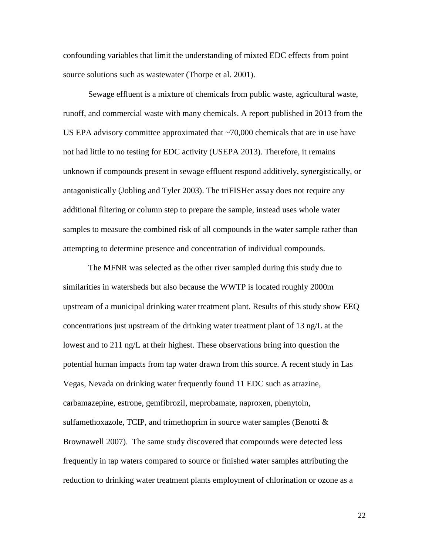confounding variables that limit the understanding of mixted EDC effects from point source solutions such as wastewater (Thorpe et al. 2001).

Sewage effluent is a mixture of chemicals from public waste, agricultural waste, runoff, and commercial waste with many chemicals. A report published in 2013 from the US EPA advisory committee approximated that ~70,000 chemicals that are in use have not had little to no testing for EDC activity (USEPA 2013). Therefore, it remains unknown if compounds present in sewage effluent respond additively, synergistically, or antagonistically (Jobling and Tyler 2003). The triFISHer assay does not require any additional filtering or column step to prepare the sample, instead uses whole water samples to measure the combined risk of all compounds in the water sample rather than attempting to determine presence and concentration of individual compounds.

The MFNR was selected as the other river sampled during this study due to similarities in watersheds but also because the WWTP is located roughly 2000m upstream of a municipal drinking water treatment plant. Results of this study show EEQ concentrations just upstream of the drinking water treatment plant of 13 ng/L at the lowest and to 211 ng/L at their highest. These observations bring into question the potential human impacts from tap water drawn from this source. A recent study in Las Vegas, Nevada on drinking water frequently found 11 EDC such as atrazine, carbamazepine, estrone, gemfibrozil, meprobamate, naproxen, phenytoin, sulfamethoxazole, TCIP, and trimethoprim in source water samples (Benotti & Brownawell 2007). The same study discovered that compounds were detected less frequently in tap waters compared to source or finished water samples attributing the reduction to drinking water treatment plants employment of chlorination or ozone as a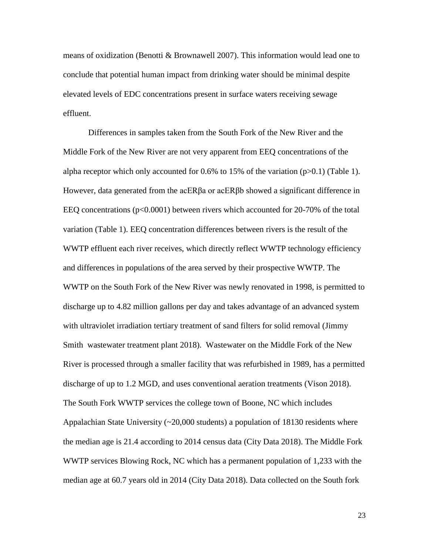means of oxidization (Benotti & Brownawell 2007). This information would lead one to conclude that potential human impact from drinking water should be minimal despite elevated levels of EDC concentrations present in surface waters receiving sewage effluent.

Differences in samples taken from the South Fork of the New River and the Middle Fork of the New River are not very apparent from EEQ concentrations of the alpha receptor which only accounted for  $0.6\%$  to 15% of the variation (p $>0.1$ ) (Table 1). However, data generated from the acERβa or acERβb showed a significant difference in EEQ concentrations (p<0.0001) between rivers which accounted for 20-70% of the total variation (Table 1). EEQ concentration differences between rivers is the result of the WWTP effluent each river receives, which directly reflect WWTP technology efficiency and differences in populations of the area served by their prospective WWTP. The WWTP on the South Fork of the New River was newly renovated in 1998, is permitted to discharge up to 4.82 million gallons per day and takes advantage of an advanced system with ultraviolet irradiation tertiary treatment of sand filters for solid removal (Jimmy Smith wastewater treatment plant 2018). Wastewater on the Middle Fork of the New River is processed through a smaller facility that was refurbished in 1989, has a permitted discharge of up to 1.2 MGD, and uses conventional aeration treatments (Vison 2018). The South Fork WWTP services the college town of Boone, NC which includes Appalachian State University (~20,000 students) a population of 18130 residents where the median age is 21.4 according to 2014 census data (City Data 2018). The Middle Fork WWTP services Blowing Rock, NC which has a permanent population of 1,233 with the median age at 60.7 years old in 2014 (City Data 2018). Data collected on the South fork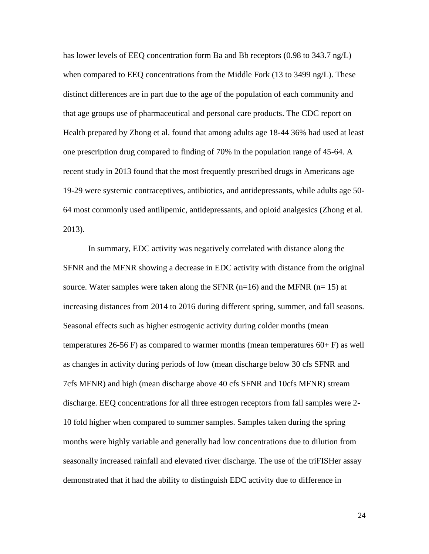has lower levels of EEQ concentration form Ba and Bb receptors (0.98 to 343.7 ng/L) when compared to EEQ concentrations from the Middle Fork (13 to 3499 ng/L). These distinct differences are in part due to the age of the population of each community and that age groups use of pharmaceutical and personal care products. The CDC report on Health prepared by Zhong et al. found that among adults age 18-44 36% had used at least one prescription drug compared to finding of 70% in the population range of 45-64. A recent study in 2013 found that the most frequently prescribed drugs in Americans age 19-29 were systemic contraceptives, antibiotics, and antidepressants, while adults age 50- 64 most commonly used antilipemic, antidepressants, and opioid analgesics (Zhong et al. 2013).

In summary, EDC activity was negatively correlated with distance along the SFNR and the MFNR showing a decrease in EDC activity with distance from the original source. Water samples were taken along the SFNR  $(n=16)$  and the MFNR  $(n= 15)$  at increasing distances from 2014 to 2016 during different spring, summer, and fall seasons. Seasonal effects such as higher estrogenic activity during colder months (mean temperatures 26-56 F) as compared to warmer months (mean temperatures  $60 + F$ ) as well as changes in activity during periods of low (mean discharge below 30 cfs SFNR and 7cfs MFNR) and high (mean discharge above 40 cfs SFNR and 10cfs MFNR) stream discharge. EEQ concentrations for all three estrogen receptors from fall samples were 2- 10 fold higher when compared to summer samples. Samples taken during the spring months were highly variable and generally had low concentrations due to dilution from seasonally increased rainfall and elevated river discharge. The use of the triFISHer assay demonstrated that it had the ability to distinguish EDC activity due to difference in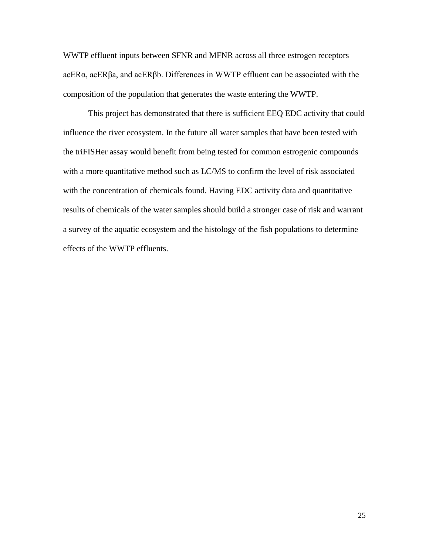WWTP effluent inputs between SFNR and MFNR across all three estrogen receptors acERα, acERβa, and acERβb. Differences in WWTP effluent can be associated with the composition of the population that generates the waste entering the WWTP.

This project has demonstrated that there is sufficient EEQ EDC activity that could influence the river ecosystem. In the future all water samples that have been tested with the triFISHer assay would benefit from being tested for common estrogenic compounds with a more quantitative method such as LC/MS to confirm the level of risk associated with the concentration of chemicals found. Having EDC activity data and quantitative results of chemicals of the water samples should build a stronger case of risk and warrant a survey of the aquatic ecosystem and the histology of the fish populations to determine effects of the WWTP effluents.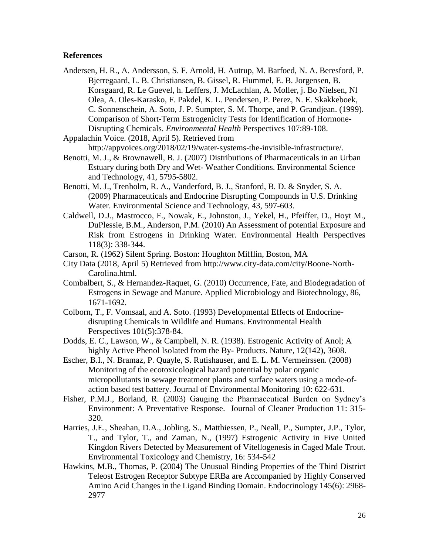#### **References**

- Andersen, H. R., A. Andersson, S. F. Arnold, H. Autrup, M. Barfoed, N. A. Beresford, P. Bjerregaard, L. B. Christiansen, B. Gissel, R. Hummel, E. B. Jorgensen, B. Korsgaard, R. Le Guevel, h. Leffers, J. McLachlan, A. Moller, j. Bo Nielsen, Nl Olea, A. Oles-Karasko, F. Pakdel, K. L. Pendersen, P. Perez, N. E. Skakkeboek, C. Sonnenschein, A. Soto, J. P. Sumpter, S. M. Thorpe, and P. Grandjean. (1999). Comparison of Short-Term Estrogenicity Tests for Identification of Hormone-Disrupting Chemicals. *Environmental Health* Perspectives 107:89-108.
- Appalachin Voice. (2018, April 5). Retrieved from
- http://appvoices.org/2018/02/19/water-systems-the-invisible-infrastructure/.
- Benotti, M. J., & Brownawell, B. J. (2007) Distributions of Pharmaceuticals in an Urban Estuary during both Dry and Wet- Weather Conditions. Environmental Science and Technology, 41, 5795-5802.
- Benotti, M. J., Trenholm, R. A., Vanderford, B. J., Stanford, B. D. & Snyder, S. A. (2009) Pharmaceuticals and Endocrine Disrupting Compounds in U.S. Drinking Water. Environmental Science and Technology, 43, 597-603.
- Caldwell, D.J., Mastrocco, F., Nowak, E., Johnston, J., Yekel, H., Pfeiffer, D., Hoyt M., DuPlessie, B.M., Anderson, P.M. (2010) An Assessment of potential Exposure and Risk from Estrogens in Drinking Water. Environmental Health Perspectives 118(3): 338-344.
- Carson, R. (1962) Silent Spring. Boston: Houghton Mifflin, Boston, MA
- City Data (2018, April 5) Retrieved from http://www.city-data.com/city/Boone-North-Carolina.html.
- Combalbert, S., & Hernandez-Raquet, G. (2010) Occurrence, Fate, and Biodegradation of Estrogens in Sewage and Manure. Applied Microbiology and Biotechnology, 86, 1671-1692.
- Colborn, T., F. Vomsaal, and A. Soto. (1993) Developmental Effects of Endocrinedisrupting Chemicals in Wildlife and Humans. Environmental Health Perspectives 101(5):378-84.
- Dodds, E. C., Lawson, W., & Campbell, N. R. (1938). Estrogenic Activity of Anol; A highly Active Phenol Isolated from the By- Products. Nature, 12(142), 3608.
- Escher, B.I., N. Bramaz, P. Quayle, S. Rutishauser, and E. L. M. Vermeirssen. (2008) Monitoring of the ecotoxicological hazard potential by polar organic micropollutants in sewage treatment plants and surface waters using a mode-ofaction based test battery. Journal of Environmental Monitoring 10: 622-631.
- Fisher, P.M.J., Borland, R. (2003) Gauging the Pharmaceutical Burden on Sydney's Environment: A Preventative Response. Journal of Cleaner Production 11: 315- 320.
- Harries, J.E., Sheahan, D.A., Jobling, S., Matthiessen, P., Neall, P., Sumpter, J.P., Tylor, T., and Tylor, T., and Zaman, N., (1997) Estrogenic Activity in Five United Kingdon Rivers Detected by Measurement of Vitellogenesis in Caged Male Trout. Environmental Toxicology and Chemistry, 16: 534-542
- Hawkins, M.B., Thomas, P. (2004) The Unusual Binding Properties of the Third District Teleost Estrogen Receptor Subtype ERBa are Accompanied by Highly Conserved Amino Acid Changes in the Ligand Binding Domain. Endocrinology 145(6): 2968- 2977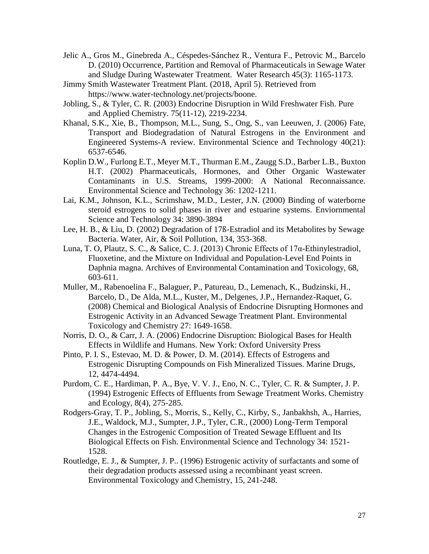- Jelic A., Gros M., Ginebreda A., Céspedes-Sánchez R., Ventura F., Petrovic M., Barcelo D. (2010) Occurrence, Partition and Removal of Pharmaceuticals in Sewage Water and Sludge During Wastewater Treatment. Water Research 45(3): 1165-1173.
- Jimmy Smith Wastewater Treatment Plant. (2018, April 5). Retrieved from https://www.water-technology.net/projects/boone.
- Jobling, S., & Tyler, C. R. (2003) Endocrine Disruption in Wild Freshwater Fish. Pure and Applied Chemistry. 75(11-12), 2219-2234.
- Khanal, S.K., Xie, B., Thompson, M.L., Sung, S., Ong, S., van Leeuwen, J. (2006) Fate, Transport and Biodegradation of Natural Estrogens in the Environment and Engineered Systems-A review. Environmental Science and Technology 40(21): 6537-6546.
- Koplin D.W., Furlong E.T., Meyer M.T., Thurman E.M., Zaugg S.D., Barber L.B., Buxton H.T. (2002) Pharmaceuticals, Hormones, and Other Organic Wastewater Contaminants in U.S. Streams, 1999-2000: A National Reconnaissance. Environmental Science and Technology 36: 1202-1211.
- Lai, K.M., Johnson, K.L., Scrimshaw, M.D., Lester, J.N. (2000) Binding of waterborne steroid estrogens to solid phases in river and estuarine systems. Enviornmental Science and Technology 34: 3890-3894
- Lee, H. B., & Liu, D. (2002) Degradation of 17ß-Estradiol and its Metabolites by Sewage Bacteria. Water, Air, & Soil Pollution, 134, 353-368.
- Luna, T. O, Plautz, S. C., & Salice, C. J. (2013) Chronic Effects of 17α-Ethinylestradiol, Fluoxetine, and the Mixture on Individual and Population-Level End Points in Daphnia magna. Archives of Environmental Contamination and Toxicology, 68, 603-611.
- Muller, M., Rabenoelina F., Balaguer, P., Patureau, D., Lemenach, K., Budzinski, H., Barcelo, D., De Alda, M.L., Kuster, M., Delgenes, J.P., Hernandez-Raquet, G. (2008) Chemical and Biological Analysis of Endocrine Disrupting Hormones and Estrogenic Activity in an Advanced Sewage Treatment Plant. Environmental Toxicology and Chemistry 27: 1649-1658.
- Norris, D. O., & Carr, J. A. (2006) Endocrine Disruption: Biological Bases for Health Effects in Wildlife and Humans. New York: Oxford University Press
- Pinto, P. I. S., Estevao, M. D. & Power, D. M. (2014). Effects of Estrogens and Estrogenic Disrupting Compounds on Fish Mineralized Tissues. Marine Drugs, 12, 4474-4494.
- Purdom, C. E., Hardiman, P. A., Bye, V. V. J., Eno, N. C., Tyler, C. R. & Sumpter, J. P. (1994) Estrogenic Effects of Effluents from Sewage Treatment Works. Chemistry and Ecology, 8(4), 275-285.
- Rodgers-Gray, T. P., Jobling, S., Morris, S., Kelly, C., Kirby, S., Janbakhsh, A., Harries, J.E., Waldock, M.J., Sumpter, J.P., Tyler, C.R., (2000) Long-Term Temporal Changes in the Estrogenic Composition of Treated Sewage Effluent and Its Biological Effects on Fish. Environmental Science and Technology 34: 1521- 1528.
- Routledge, E. J., & Sumpter, J. P.. (1996) Estrogenic activity of surfactants and some of their degradation products assessed using a recombinant yeast screen. Environmental Toxicology and Chemistry, 15, 241-248.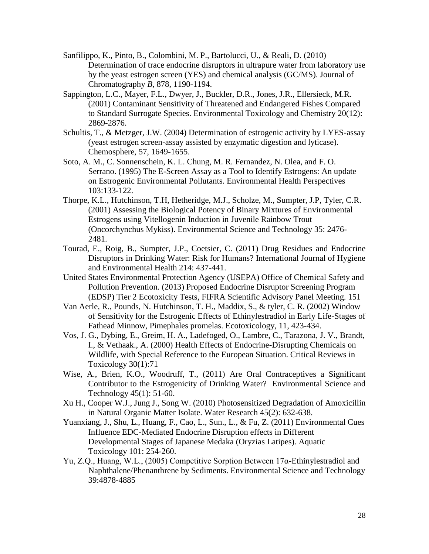- Sanfilippo, K., Pinto, B., Colombini, M. P., Bartolucci, U., & Reali, D. (2010) Determination of trace endocrine disruptors in ultrapure water from laboratory use by the yeast estrogen screen (YES) and chemical analysis (GC/MS). Journal of Chromatography *B*, 878, 1190-1194.
- Sappington, L.C., Mayer, F.L., Dwyer, J., Buckler, D.R., Jones, J.R., Ellersieck, M.R. (2001) Contaminant Sensitivity of Threatened and Endangered Fishes Compared to Standard Surrogate Species. Environmental Toxicology and Chemistry 20(12): 2869-2876.
- Schultis, T., & Metzger, J.W. (2004) Determination of estrogenic activity by LYES-assay (yeast estrogen screen-assay assisted by enzymatic digestion and lyticase). Chemosphere, 57, 1649-1655.
- Soto, A. M., C. Sonnenschein, K. L. Chung, M. R. Fernandez, N. Olea, and F. O. Serrano. (1995) The E-Screen Assay as a Tool to Identify Estrogens: An update on Estrogenic Environmental Pollutants. Environmental Health Perspectives 103:133-122.
- Thorpe, K.L., Hutchinson, T.H, Hetheridge, M.J., Scholze, M., Sumpter, J.P, Tyler, C.R. (2001) Assessing the Biological Potency of Binary Mixtures of Environmental Estrogens using Vitellogenin Induction in Juvenile Rainbow Trout (Oncorchynchus Mykiss). Environmental Science and Technology 35: 2476- 2481.
- Tourad, E., Roig, B., Sumpter, J.P., Coetsier, C. (2011) Drug Residues and Endocrine Disruptors in Drinking Water: Risk for Humans? International Journal of Hygiene and Environmental Health 214: 437-441.
- United States Environmental Protection Agency (USEPA) Office of Chemical Safety and Pollution Prevention. (2013) Proposed Endocrine Disruptor Screening Program (EDSP) Tier 2 Ecotoxicity Tests, FIFRA Scientific Advisory Panel Meeting. 151
- Van Aerle, R., Pounds, N. Hutchinson, T. H., Maddix, S., & tyler, C. R. (2002) Window of Sensitivity for the Estrogenic Effects of Ethinylestradiol in Early Life-Stages of Fathead Minnow, Pimephales promelas. Ecotoxicology, 11, 423-434.
- Vos, J. G., Dybing, E., Greim, H. A., Ladefoged, O., Lambre, C., Tarazona, J. V., Brandt, I., & Vethaak., A. (2000) Health Effects of Endocrine-Disrupting Chemicals on Wildlife, with Special Reference to the European Situation. Critical Reviews in Toxicology 30(1):71
- Wise, A., Brien, K.O., Woodruff, T., (2011) Are Oral Contraceptives a Significant Contributor to the Estrogenicity of Drinking Water? Environmental Science and Technology 45(1): 51-60.
- Xu H., Cooper W.J., Jung J., Song W. (2010) Photosensitized Degradation of Amoxicillin in Natural Organic Matter Isolate. Water Research 45(2): 632-638.
- Yuanxiang, J., Shu, L., Huang, F., Cao, L., Sun., L., & Fu, Z. (2011) Environmental Cues Influence EDC-Mediated Endocrine Disruption effects in Different Developmental Stages of Japanese Medaka (Oryzias Latipes). Aquatic Toxicology 101: 254-260.
- Yu, Z.Q., Huang, W.L., (2005) Competitive Sorption Between 17α-Ethinylestradiol and Naphthalene/Phenanthrene by Sediments. Environmental Science and Technology 39:4878-4885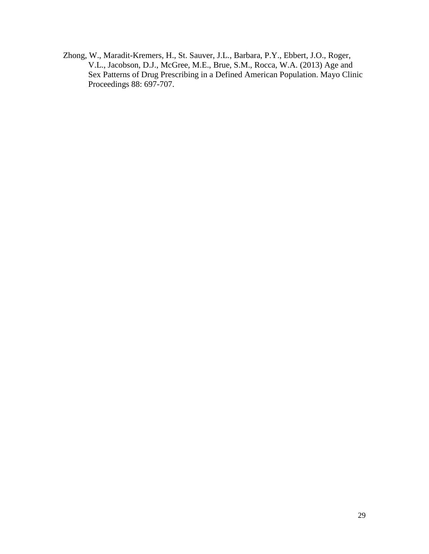Zhong, W., Maradit-Kremers, H., St. Sauver, J.L., Barbara, P.Y., Ebbert, J.O., Roger, V.L., Jacobson, D.J., McGree, M.E., Brue, S.M., Rocca, W.A. (2013) Age and Sex Patterns of Drug Prescribing in a Defined American Population. Mayo Clinic Proceedings 88: 697-707.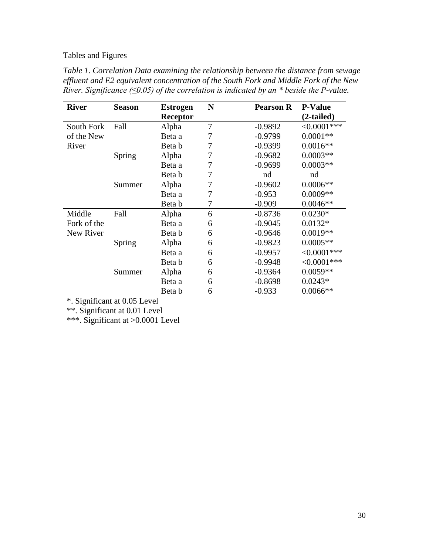# Tables and Figures

| Table 1. Correlation Data examining the relationship between the distance from sewage           |
|-------------------------------------------------------------------------------------------------|
| effluent and E2 equivalent concentration of the South Fork and Middle Fork of the New           |
| River. Significance ( $\leq 0.05$ ) of the correlation is indicated by an * beside the P-value. |

| <b>River</b> | <b>Season</b> | <b>Estrogen</b> | N              | <b>Pearson R</b> | <b>P-Value</b> |  |
|--------------|---------------|-----------------|----------------|------------------|----------------|--|
|              |               | Receptor        |                |                  | $(2-tailed)$   |  |
| South Fork   | Fall          | Alpha           | $\overline{7}$ | $-0.9892$        | $<0.0001***$   |  |
| of the New   |               | Beta a          | 7              | $-0.9799$        | $0.0001**$     |  |
| River        |               | Beta b          | $\overline{7}$ | $-0.9399$        | $0.0016**$     |  |
| Spring       |               | Alpha           | 7              | $-0.9682$        | $0.0003**$     |  |
|              |               | Beta a          | 7              | $-0.9699$        | $0.0003**$     |  |
|              |               | Beta b          | 7              | nd               | nd             |  |
|              | Summer        | Alpha           | 7              | $-0.9602$        | $0.0006**$     |  |
|              |               | Beta a          | 7              | $-0.953$         | $0.0009**$     |  |
|              |               | Beta b          | 7              | $-0.909$         | $0.0046**$     |  |
| Middle       | Fall          | Alpha           | 6              | $-0.8736$        | $0.0230*$      |  |
| Fork of the  |               | Beta a          | 6              | $-0.9045$        | $0.0132*$      |  |
| New River    |               | Beta b          | 6              | $-0.9646$        | $0.0019**$     |  |
|              | Spring        | Alpha           | 6              | $-0.9823$        | $0.0005**$     |  |
|              |               | Beta a          | 6              | $-0.9957$        | $<0.0001***$   |  |
|              |               | Beta b          | 6              | $-0.9948$        | $<0.0001***$   |  |
|              | Summer        | Alpha           | 6              | $-0.9364$        | $0.0059**$     |  |
|              |               | Beta a          | 6              | $-0.8698$        | $0.0243*$      |  |
|              |               | Beta b          | 6              | $-0.933$         | $0.0066**$     |  |

\*. Significant at 0.05 Level

\*\*. Significant at 0.01 Level

\*\*\*. Significant at >0.0001 Level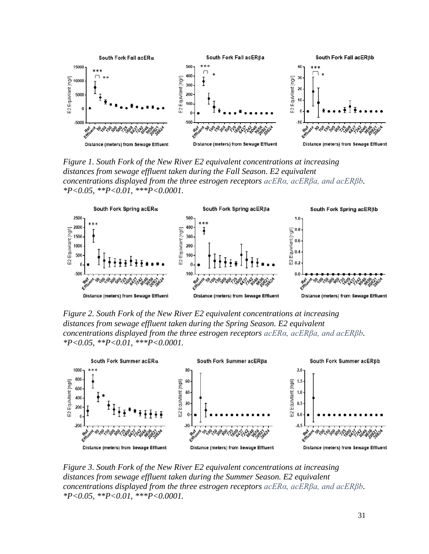

*Figure 1. South Fork of the New River E2 equivalent concentrations at increasing distances from sewage effluent taken during the Fall Season. E2 equivalent concentrations displayed from the three estrogen receptors acERα, acERβa, and acERβb. \*P<0.05, \*\*P<0.01, \*\*\*P<0.0001.*



*Figure 2. South Fork of the New River E2 equivalent concentrations at increasing distances from sewage effluent taken during the Spring Season. E2 equivalent concentrations displayed from the three estrogen receptors acERα, acERβa, and acERβb. \*P<0.05, \*\*P<0.01, \*\*\*P<0.0001.*



*Figure 3. South Fork of the New River E2 equivalent concentrations at increasing distances from sewage effluent taken during the Summer Season. E2 equivalent concentrations displayed from the three estrogen receptors acERα, acERβa, and acERβb. \*P<0.05, \*\*P<0.01, \*\*\*P<0.0001.*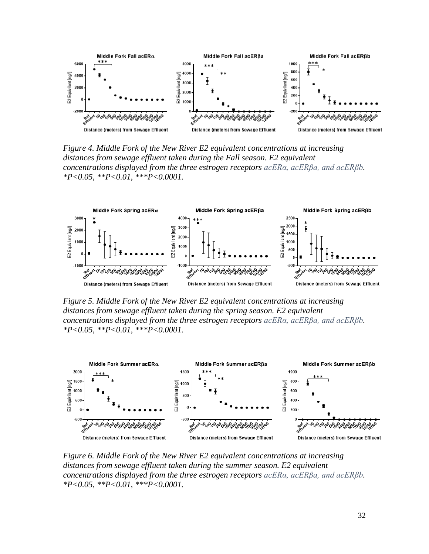

*Figure 4. Middle Fork of the New River E2 equivalent concentrations at increasing distances from sewage effluent taken during the Fall season. E2 equivalent concentrations displayed from the three estrogen receptors acERα, acERβa, and acERβb. \*P<0.05, \*\*P<0.01, \*\*\*P<0.0001.*



*Figure 5. Middle Fork of the New River E2 equivalent concentrations at increasing distances from sewage effluent taken during the spring season. E2 equivalent concentrations displayed from the three estrogen receptors acERα, acERβa, and acERβb. \*P<0.05, \*\*P<0.01, \*\*\*P<0.0001.*



*Figure 6. Middle Fork of the New River E2 equivalent concentrations at increasing distances from sewage effluent taken during the summer season. E2 equivalent concentrations displayed from the three estrogen receptors acERα, acERβa, and acERβb. \*P<0.05, \*\*P<0.01, \*\*\*P<0.0001.*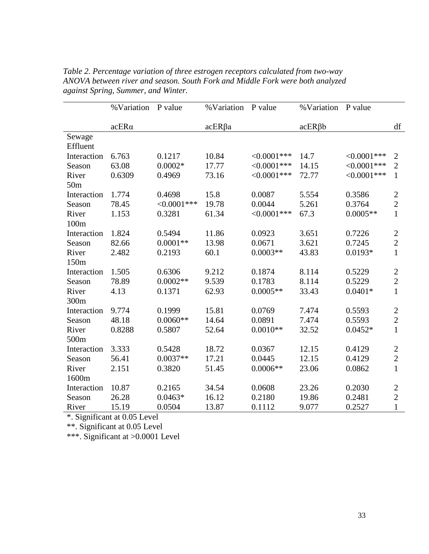| % Variation | P value                                                                                                                   | % Variation                                                                                                | P value                                                                                                          | %Variation                                                                                                                            | P value                                                                                                                  |                                                                                                                                 |
|-------------|---------------------------------------------------------------------------------------------------------------------------|------------------------------------------------------------------------------------------------------------|------------------------------------------------------------------------------------------------------------------|---------------------------------------------------------------------------------------------------------------------------------------|--------------------------------------------------------------------------------------------------------------------------|---------------------------------------------------------------------------------------------------------------------------------|
|             |                                                                                                                           |                                                                                                            |                                                                                                                  |                                                                                                                                       |                                                                                                                          |                                                                                                                                 |
|             |                                                                                                                           |                                                                                                            |                                                                                                                  |                                                                                                                                       |                                                                                                                          | df                                                                                                                              |
|             |                                                                                                                           |                                                                                                            |                                                                                                                  |                                                                                                                                       |                                                                                                                          |                                                                                                                                 |
|             |                                                                                                                           |                                                                                                            |                                                                                                                  |                                                                                                                                       |                                                                                                                          |                                                                                                                                 |
|             |                                                                                                                           |                                                                                                            |                                                                                                                  |                                                                                                                                       |                                                                                                                          | $\overline{2}$                                                                                                                  |
|             |                                                                                                                           |                                                                                                            |                                                                                                                  |                                                                                                                                       |                                                                                                                          | $\overline{2}$                                                                                                                  |
|             |                                                                                                                           |                                                                                                            |                                                                                                                  |                                                                                                                                       |                                                                                                                          | $\mathbf{1}$                                                                                                                    |
|             |                                                                                                                           |                                                                                                            |                                                                                                                  |                                                                                                                                       |                                                                                                                          |                                                                                                                                 |
| 1.774       | 0.4698                                                                                                                    | 15.8                                                                                                       | 0.0087                                                                                                           | 5.554                                                                                                                                 | 0.3586                                                                                                                   | $\mathbf{2}$                                                                                                                    |
| 78.45       | $<0.0001***$                                                                                                              | 19.78                                                                                                      | 0.0044                                                                                                           | 5.261                                                                                                                                 | 0.3764                                                                                                                   | $\overline{2}$                                                                                                                  |
| 1.153       | 0.3281                                                                                                                    | 61.34                                                                                                      | $<0.0001***$                                                                                                     | 67.3                                                                                                                                  | $0.0005**$                                                                                                               | $\mathbf{1}$                                                                                                                    |
|             |                                                                                                                           |                                                                                                            |                                                                                                                  |                                                                                                                                       |                                                                                                                          |                                                                                                                                 |
| 1.824       | 0.5494                                                                                                                    | 11.86                                                                                                      | 0.0923                                                                                                           | 3.651                                                                                                                                 | 0.7226                                                                                                                   | $\mathfrak{2}$                                                                                                                  |
| 82.66       | $0.0001**$                                                                                                                | 13.98                                                                                                      | 0.0671                                                                                                           | 3.621                                                                                                                                 | 0.7245                                                                                                                   | $\overline{2}$                                                                                                                  |
| 2.482       | 0.2193                                                                                                                    | 60.1                                                                                                       | $0.0003**$                                                                                                       | 43.83                                                                                                                                 | $0.0193*$                                                                                                                | $\mathbf{1}$                                                                                                                    |
|             |                                                                                                                           |                                                                                                            |                                                                                                                  |                                                                                                                                       |                                                                                                                          |                                                                                                                                 |
| 1.505       | 0.6306                                                                                                                    | 9.212                                                                                                      | 0.1874                                                                                                           | 8.114                                                                                                                                 | 0.5229                                                                                                                   | $\mathbf{2}$                                                                                                                    |
| 78.89       | $0.0002**$                                                                                                                | 9.539                                                                                                      | 0.1783                                                                                                           | 8.114                                                                                                                                 | 0.5229                                                                                                                   | $\overline{2}$                                                                                                                  |
|             | 0.1371                                                                                                                    | 62.93                                                                                                      | $0.0005**$                                                                                                       |                                                                                                                                       | $0.0401*$                                                                                                                | $\mathbf{1}$                                                                                                                    |
|             |                                                                                                                           |                                                                                                            |                                                                                                                  |                                                                                                                                       |                                                                                                                          |                                                                                                                                 |
| 9.774       | 0.1999                                                                                                                    | 15.81                                                                                                      | 0.0769                                                                                                           | 7.474                                                                                                                                 | 0.5593                                                                                                                   | $\mathbf{2}$                                                                                                                    |
|             | $0.0060**$                                                                                                                |                                                                                                            |                                                                                                                  |                                                                                                                                       |                                                                                                                          | $\overline{2}$                                                                                                                  |
|             |                                                                                                                           |                                                                                                            |                                                                                                                  |                                                                                                                                       |                                                                                                                          | $\mathbf{1}$                                                                                                                    |
|             |                                                                                                                           |                                                                                                            |                                                                                                                  |                                                                                                                                       |                                                                                                                          |                                                                                                                                 |
|             |                                                                                                                           |                                                                                                            |                                                                                                                  |                                                                                                                                       |                                                                                                                          | $\overline{2}$                                                                                                                  |
|             |                                                                                                                           |                                                                                                            |                                                                                                                  |                                                                                                                                       |                                                                                                                          | $\overline{2}$                                                                                                                  |
|             |                                                                                                                           |                                                                                                            |                                                                                                                  |                                                                                                                                       |                                                                                                                          | $\mathbf{1}$                                                                                                                    |
|             |                                                                                                                           |                                                                                                            |                                                                                                                  |                                                                                                                                       |                                                                                                                          |                                                                                                                                 |
|             |                                                                                                                           |                                                                                                            |                                                                                                                  |                                                                                                                                       |                                                                                                                          | $\mathfrak{2}$                                                                                                                  |
|             |                                                                                                                           |                                                                                                            |                                                                                                                  |                                                                                                                                       |                                                                                                                          | $\overline{2}$                                                                                                                  |
|             |                                                                                                                           |                                                                                                            |                                                                                                                  |                                                                                                                                       |                                                                                                                          | $\mathbf{1}$                                                                                                                    |
|             | $acER\alpha$<br>6.763<br>63.08<br>0.6309<br>4.13<br>48.18<br>0.8288<br>3.333<br>56.41<br>2.151<br>10.87<br>26.28<br>15.19 | 0.1217<br>$0.0002*$<br>0.4969<br>0.5807<br>0.5428<br>$0.0037**$<br>0.3820<br>0.2165<br>$0.0463*$<br>0.0504 | $acER\beta a$<br>10.84<br>17.77<br>73.16<br>14.64<br>52.64<br>18.72<br>17.21<br>51.45<br>34.54<br>16.12<br>13.87 | $<0.0001$ ***<br>$<0.0001***$<br>$<0.0001***$<br>0.0891<br>$0.0010**$<br>0.0367<br>0.0445<br>$0.0006**$<br>0.0608<br>0.2180<br>0.1112 | $acER\beta b$<br>14.7<br>14.15<br>72.77<br>33.43<br>7.474<br>32.52<br>12.15<br>12.15<br>23.06<br>23.26<br>19.86<br>9.077 | $<0.0001***$<br>$<0.0001***$<br>$<0.0001***$<br>0.5593<br>$0.0452*$<br>0.4129<br>0.4129<br>0.0862<br>0.2030<br>0.2481<br>0.2527 |

*Table 2. Percentage variation of three estrogen receptors calculated from two-way ANOVA between river and season. South Fork and Middle Fork were both analyzed against Spring, Summer, and Winter.* 

\*. Significant at 0.05 Level

\*\*. Significant at 0.05 Level

\*\*\*. Significant at >0.0001 Level